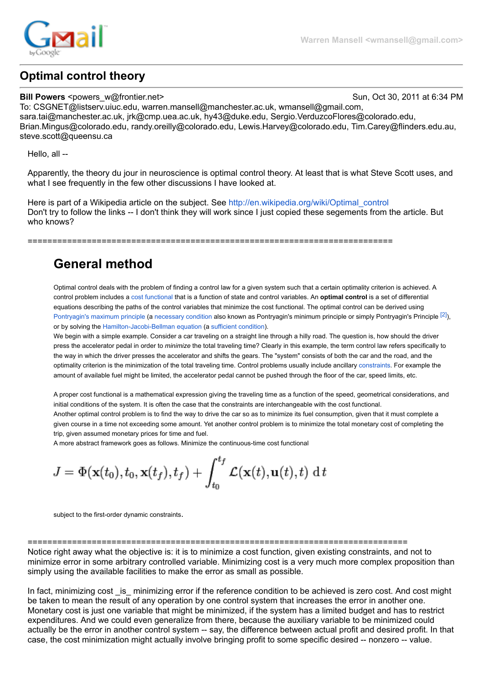

## **Optimal control theory**

**Warren Mansell <wmansell@gmail.com>**

**Bill Powers** <powers w@frontier.net> Sun, Oct 30, 2011 at 6:34 PM To: CSGNET@listserv.uiuc.edu, warren.mansell@manchester.ac.uk, wmansell@gmail.com, sara.tai@manchester.ac.uk, jrk@cmp.uea.ac.uk, hy43@duke.edu, Sergio.VerduzcoFlores@colorado.edu, Brian.Mingus@colorado.edu, randy.oreilly@colorado.edu, Lewis.Harvey@colorado.edu, Tim.Carey@flinders.edu.au, steve.scott@queensu.ca

Hello, all --

Apparently, the theory du jour in neuroscience is optimal control theory. At least that is what Steve Scott uses, and what I see frequently in the few other discussions I have looked at.

Here is part of a Wikipedia article on the subject. See [http://en.wikipedia.org/wiki/Optimal\\_control](http://en.wikipedia.org/wiki/Optimal_control) Don't try to follow the links -- I don't think they will work since I just copied these segements from the article. But who knows?

==========================================================================

# **General method**

Optimal control deals with the problem of finding a control law for a given system such that a certain optimality criterion is achieved. A control problem includes a [cost functional](http://en.wikipedia.org/wiki/Cost_functional) that is a function of state and control variables. An **optimal control** is a set of differential equations describing the paths of the control variables that minimize the cost functional. The optimal control can be derived using [Pontryagin's maximum principle](http://en.wikipedia.org/wiki/Pontryagin%27s_maximum_principle) (a [necessary condition](http://en.wikipedia.org/wiki/Necessary_condition) also known as Pontryagin's minimum principle or simply Pontryagin's Principle [\[2\]\)](http://en.wikipedia.org/wiki/Optimal_control#cite_note-1), or by solving the [Hamilton-Jacobi-Bellman equation](http://en.wikipedia.org/wiki/Hamilton-Jacobi-Bellman_equation) (a [sufficient condition\)](http://en.wikipedia.org/wiki/Sufficient_condition).

We begin with a simple example. Consider a car traveling on a straight line through a hilly road. The question is, how should the driver press the accelerator pedal in order to *minimize* the total traveling time? Clearly in this example, the term control law refers specifically to the way in which the driver presses the accelerator and shifts the gears. The "system" consists of both the car and the road, and the optimality criterion is the minimization of the total traveling time. Control problems usually include ancillary [constraints.](http://en.wikipedia.org/wiki/Constraint_%28mathematics%29) For example the amount of available fuel might be limited, the accelerator pedal cannot be pushed through the floor of the car, speed limits, etc.

A proper cost functional is a mathematical expression giving the traveling time as a function of the speed, geometrical considerations, and initial conditions of the system. It is often the case that the constraints are interchangeable with the cost functional. Another optimal control problem is to find the way to drive the car so as to minimize its fuel consumption, given that it must complete a given course in a time not exceeding some amount. Yet another control problem is to minimize the total monetary cost of completing the trip, given assumed monetary prices for time and fuel.

A more abstract framework goes as follows. Minimize the continuous-time cost functional

$$
J = \Phi(\mathbf{x}(t_0), t_0, \mathbf{x}(t_f), t_f) + \int_{t_0}^{t_f} \mathcal{L}(\mathbf{x}(t), \mathbf{u}(t), t) dt
$$

subject to the first-order dynamic constraints.

============================================================================= Notice right away what the objective is: it is to minimize a cost function, given existing constraints, and not to minimize error in some arbitrary controlled variable. Minimizing cost is a very much more complex proposition than simply using the available facilities to make the error as small as possible.

In fact, minimizing cost is minimizing error if the reference condition to be achieved is zero cost. And cost might be taken to mean the result of any operation by one control system that increases the error in another one. Monetary cost is just one variable that might be minimized, if the system has a limited budget and has to restrict expenditures. And we could even generalize from there, because the auxiliary variable to be minimized could actually be the error in another control system -- say, the difference between actual profit and desired profit. In that case, the cost minimization might actually involve bringing profit to some specific desired -- nonzero -- value.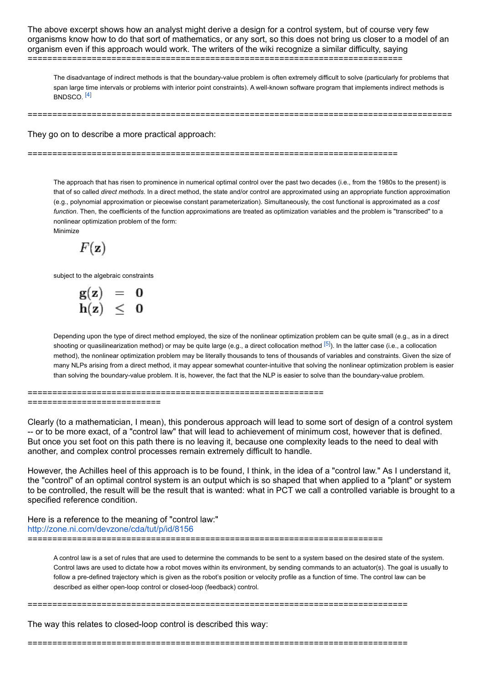The above excerpt shows how an analyst might derive a design for a control system, but of course very few organisms know how to do that sort of mathematics, or any sort, so this does not bring us closer to a model of an organism even if this approach would work. The writers of the wiki recognize a similar difficulty, saying ============================================================================

The disadvantage of indirect methods is that the boundary-value problem is often extremely difficult to solve (particularly for problems that span large time intervals or problems with interior point constraints). A well-known software program that implements indirect methods is BNDSCO. [\[4\]](http://en.wikipedia.org/wiki/Optimal_control#cite_note-3)

======================================================================================

They go on to describe a more practical approach:

===========================================================================

The approach that has risen to prominence in numerical optimal control over the past two decades (i.e., from the 1980s to the present) is that of so called *direct methods*. In a direct method, the state and/or control are approximated using an appropriate function approximation (e.g., polynomial approximation or piecewise constant parameterization). Simultaneously, the cost functional is approximated as a *cost function*. Then, the coefficients of the function approximations are treated as optimization variables and the problem is "transcribed" to a nonlinear optimization problem of the form: Minimize

 $F(\mathbf{z})$ 

subject to the algebraic constraints

| g(z) | O |
|------|---|
| h(z) | O |

Depending upon the type of direct method employed, the size of the nonlinear optimization problem can be quite small (e.g., as in a direct shooting or quasilinearization method) or may be quite large (e.g., a direct collocation method  $[5]$ ). In the latter case (i.e., a collocation method), the nonlinear optimization problem may be literally thousands to tens of thousands of variables and constraints. Given the size of many NLPs arising from a direct method, it may appear somewhat counter-intuitive that solving the nonlinear optimization problem is easier than solving the boundary-value problem. It is, however, the fact that the NLP is easier to solve than the boundary-value problem.

============================================================ ==========================

Clearly (to a mathematician, I mean), this ponderous approach will lead to some sort of design of a control system -- or to be more exact, of a "control law" that will lead to achievement of minimum cost, however that is defined. But once you set foot on this path there is no leaving it, because one complexity leads to the need to deal with another, and complex control processes remain extremely difficult to handle.

However, the Achilles heel of this approach is to be found, I think, in the idea of a "control law." As I understand it, the "control" of an optimal control system is an output which is so shaped that when applied to a "plant" or system to be controlled, the result will be the result that is wanted: what in PCT we call a controlled variable is brought to a specified reference condition.

Here is a reference to the meaning of "control law:" <http://zone.ni.com/devzone/cda/tut/p/id/8156>

========================================================================

A control law is a set of rules that are used to determine the commands to be sent to a system based on the desired state of the system. Control laws are used to dictate how a robot moves within its environment, by sending commands to an actuator(s). The goal is usually to follow a pre-defined trajectory which is given as the robot's position or velocity profile as a function of time. The control law can be described as either open-loop control or closed-loop (feedback) control.

=============================================================================

The way this relates to closed-loop control is described this way:

=============================================================================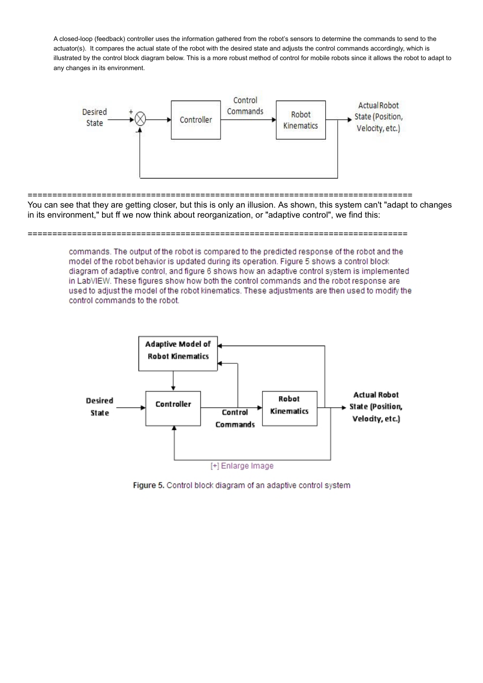A closed-loop (feedback) controller uses the information gathered from the robot's sensors to determine the commands to send to the actuator(s). It compares the actual state of the robot with the desired state and adjusts the control commands accordingly, which is illustrated by the control block diagram below. This is a more robust method of control for mobile robots since it allows the robot to adapt to any changes in its environment.



============================================================================== You can see that they are getting closer, but this is only an illusion. As shown, this system can't "adapt to changes in its environment," but ff we now think about reorganization, or "adaptive control", we find this:

### =============================================================================

commands. The output of the robot is compared to the predicted response of the robot and the model of the robot behavior is updated during its operation. Figure 5 shows a control block diagram of adaptive control, and figure 6 shows how an adaptive control system is implemented in LabVIEW. These figures show how both the control commands and the robot response are used to adjust the model of the robot kinematics. These adjustments are then used to modify the control commands to the robot.



Figure 5. Control block diagram of an adaptive control system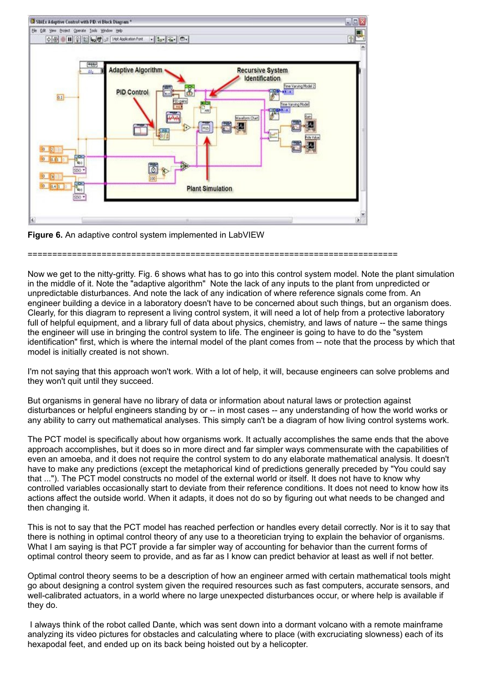



===========================================================================

Now we get to the nitty-gritty. Fig. 6 shows what has to go into this control system model. Note the plant simulation in the middle of it. Note the "adaptive algorithm" Note the lack of any inputs to the plant from unpredicted or unpredictable disturbances. And note the lack of any indication of where reference signals come from. An engineer building a device in a laboratory doesn't have to be concerned about such things, but an organism does. Clearly, for this diagram to represent a living control system, it will need a lot of help from a protective laboratory full of helpful equipment, and a library full of data about physics, chemistry, and laws of nature -- the same things the engineer will use in bringing the control system to life. The engineer is going to have to do the "system identification" first, which is where the internal model of the plant comes from -- note that the process by which that model is initially created is not shown.

I'm not saying that this approach won't work. With a lot of help, it will, because engineers can solve problems and they won't quit until they succeed.

But organisms in general have no library of data or information about natural laws or protection against disturbances or helpful engineers standing by or -- in most cases -- any understanding of how the world works or any ability to carry out mathematical analyses. This simply can't be a diagram of how living control systems work.

The PCT model is specifically about how organisms work. It actually accomplishes the same ends that the above approach accomplishes, but it does so in more direct and far simpler ways commensurate with the capabilities of even an amoeba, and it does not require the control system to do any elaborate mathematical analysis. It doesn't have to make any predictions (except the metaphorical kind of predictions generally preceded by "You could say that ..."). The PCT model constructs no model of the external world or itself. It does not have to know why controlled variables occasionally start to deviate from their reference conditions. It does not need to know how its actions affect the outside world. When it adapts, it does not do so by figuring out what needs to be changed and then changing it.

This is not to say that the PCT model has reached perfection or handles every detail correctly. Nor is it to say that there is nothing in optimal control theory of any use to a theoretician trying to explain the behavior of organisms. What I am saying is that PCT provide a far simpler way of accounting for behavior than the current forms of optimal control theory seem to provide, and as far as I know can predict behavior at least as well if not better.

Optimal control theory seems to be a description of how an engineer armed with certain mathematical tools might go about designing a control system given the required resources such as fast computers, accurate sensors, and well-calibrated actuators, in a world where no large unexpected disturbances occur, or where help is available if they do.

 I always think of the robot called Dante, which was sent down into a dormant volcano with a remote mainframe analyzing its video pictures for obstacles and calculating where to place (with excruciating slowness) each of its hexapodal feet, and ended up on its back being hoisted out by a helicopter.